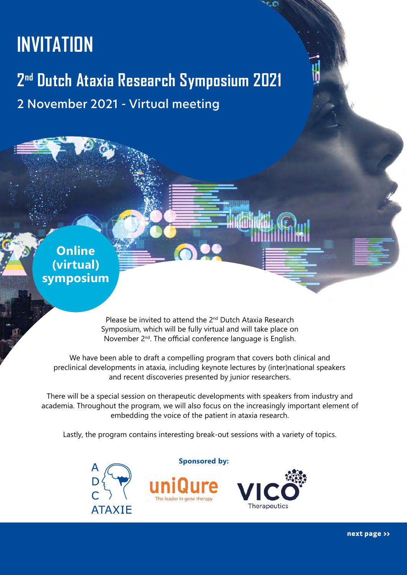# <span id="page-0-0"></span>**INVITATION**

# **2nd Dutch Ataxia Research Symposium 2021** 2 November 2021 - Virtual meeting

**Online (virtual) symposium**

> Please be invited to attend the 2<sup>nd</sup> Dutch Ataxia Research Symposium, which will be fully virtual and will take place on November 2<sup>nd</sup>. The official conference language is English.

We have been able to draft a compelling program that covers both clinical and preclinical developments in ataxia, including keynote lectures by (inter)national speakers and recent discoveries presented by junior researchers.

There will be a special session on therapeutic developments with speakers from industry and academia. Throughout the program, we will also focus on the increasingly important element of embedding the voice of the patient in ataxia research.

Lastly, the program contains interesting break-out sessions with a variety of topics.